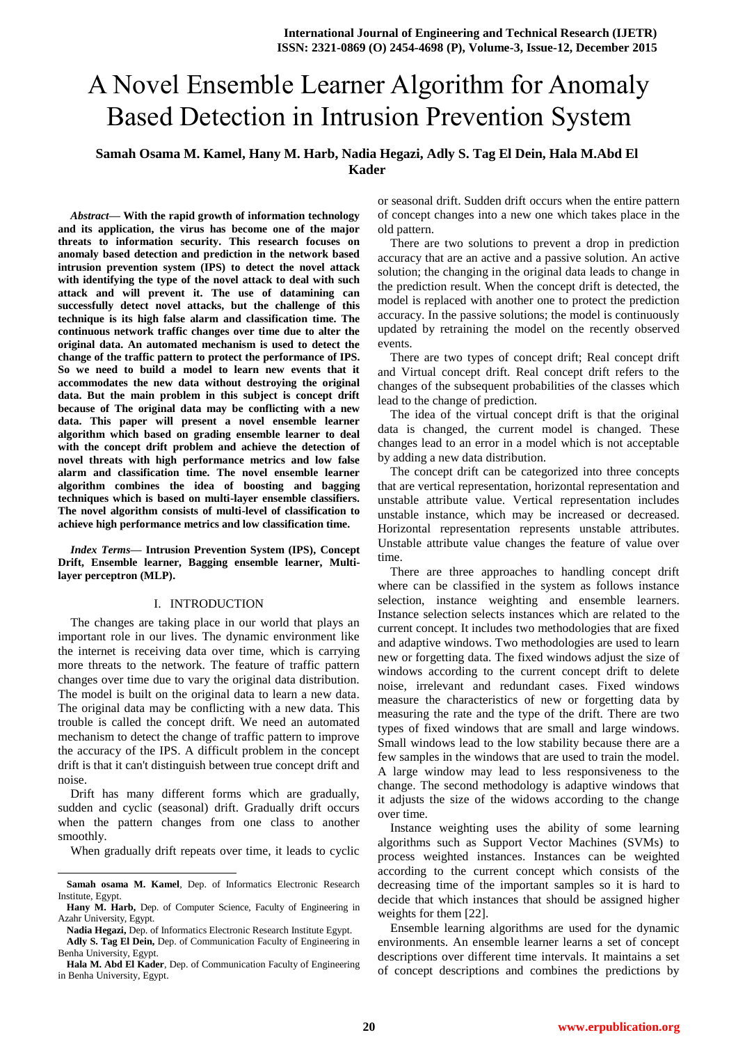# A Novel Ensemble Learner Algorithm for Anomaly Based Detection in Intrusion Prevention System

# **Samah Osama M. Kamel, Hany M. Harb, Nadia Hegazi, Adly S. Tag El Dein, Hala M.Abd El Kader**

*Abstract—* **With the rapid growth of information technology and its application, the virus has become one of the major threats to information security. This research focuses on anomaly based detection and prediction in the network based intrusion prevention system (IPS) to detect the novel attack with identifying the type of the novel attack to deal with such attack and will prevent it. The use of datamining can successfully detect novel attacks, but the challenge of this technique is its high false alarm and classification time. The continuous network traffic changes over time due to alter the original data. An automated mechanism is used to detect the change of the traffic pattern to protect the performance of IPS. So we need to build a model to learn new events that it accommodates the new data without destroying the original data. But the main problem in this subject is concept drift because of The original data may be conflicting with a new data. This paper will present a novel ensemble learner algorithm which based on grading ensemble learner to deal with the concept drift problem and achieve the detection of novel threats with high performance metrics and low false alarm and classification time. The novel ensemble learner algorithm combines the idea of boosting and bagging techniques which is based on multi-layer ensemble classifiers. The novel algorithm consists of multi-level of classification to achieve high performance metrics and low classification time.**

*Index Terms***— Intrusion Prevention System (IPS), Concept Drift, Ensemble learner, Bagging ensemble learner, Multilayer perceptron (MLP).** 

#### I. INTRODUCTION

The changes are taking place in our world that plays an important role in our lives. The dynamic environment like the internet is receiving data over time, which is carrying more threats to the network. The feature of traffic pattern changes over time due to vary the original data distribution. The model is built on the original data to learn a new data. The original data may be conflicting with a new data. This trouble is called the concept drift. We need an automated mechanism to detect the change of traffic pattern to improve the accuracy of the IPS. A difficult problem in the concept drift is that it can't distinguish between true concept drift and noise.

Drift has many different forms which are gradually, sudden and cyclic (seasonal) drift. Gradually drift occurs when the pattern changes from one class to another smoothly.

When gradually drift repeats over time, it leads to cyclic

l

or seasonal drift. Sudden drift occurs when the entire pattern of concept changes into a new one which takes place in the old pattern.

There are two solutions to prevent a drop in prediction accuracy that are an active and a passive solution. An active solution; the changing in the original data leads to change in the prediction result. When the concept drift is detected, the model is replaced with another one to protect the prediction accuracy. In the passive solutions; the model is continuously updated by retraining the model on the recently observed events.

There are two types of concept drift; Real concept drift and Virtual concept drift. Real concept drift refers to the changes of the subsequent probabilities of the classes which lead to the change of prediction.

The idea of the virtual concept drift is that the original data is changed, the current model is changed. These changes lead to an error in a model which is not acceptable by adding a new data distribution.

The concept drift can be categorized into three concepts that are vertical representation, horizontal representation and unstable attribute value. Vertical representation includes unstable instance, which may be increased or decreased. Horizontal representation represents unstable attributes. Unstable attribute value changes the feature of value over time.

There are three approaches to handling concept drift where can be classified in the system as follows instance selection, instance weighting and ensemble learners. Instance selection selects instances which are related to the current concept. It includes two methodologies that are fixed and adaptive windows. Two methodologies are used to learn new or forgetting data. The fixed windows adjust the size of windows according to the current concept drift to delete noise, irrelevant and redundant cases. Fixed windows measure the characteristics of new or forgetting data by measuring the rate and the type of the drift. There are two types of fixed windows that are small and large windows. Small windows lead to the low stability because there are a few samples in the windows that are used to train the model. A large window may lead to less responsiveness to the change. The second methodology is adaptive windows that it adjusts the size of the widows according to the change over time.

Instance weighting uses the ability of some learning algorithms such as Support Vector Machines (SVMs) to process weighted instances. Instances can be weighted according to the current concept which consists of the decreasing time of the important samples so it is hard to decide that which instances that should be assigned higher weights for them [22].

Ensemble learning algorithms are used for the dynamic environments. An ensemble learner learns a set of concept descriptions over different time intervals. It maintains a set of concept descriptions and combines the predictions by

**Samah osama M. Kamel**, Dep. of Informatics Electronic Research Institute, Egypt.

**Hany M. Harb,** Dep. of Computer Science, Faculty of Engineering in Azahr University, Egypt.

**Nadia Hegazi,** Dep. of Informatics Electronic Research Institute Egypt.

**Adly S. Tag El Dein,** Dep. of Communication Faculty of Engineering in Benha University, Egypt.

**Hala M. Abd El Kader**, Dep. of Communication Faculty of Engineering in Benha University, Egypt.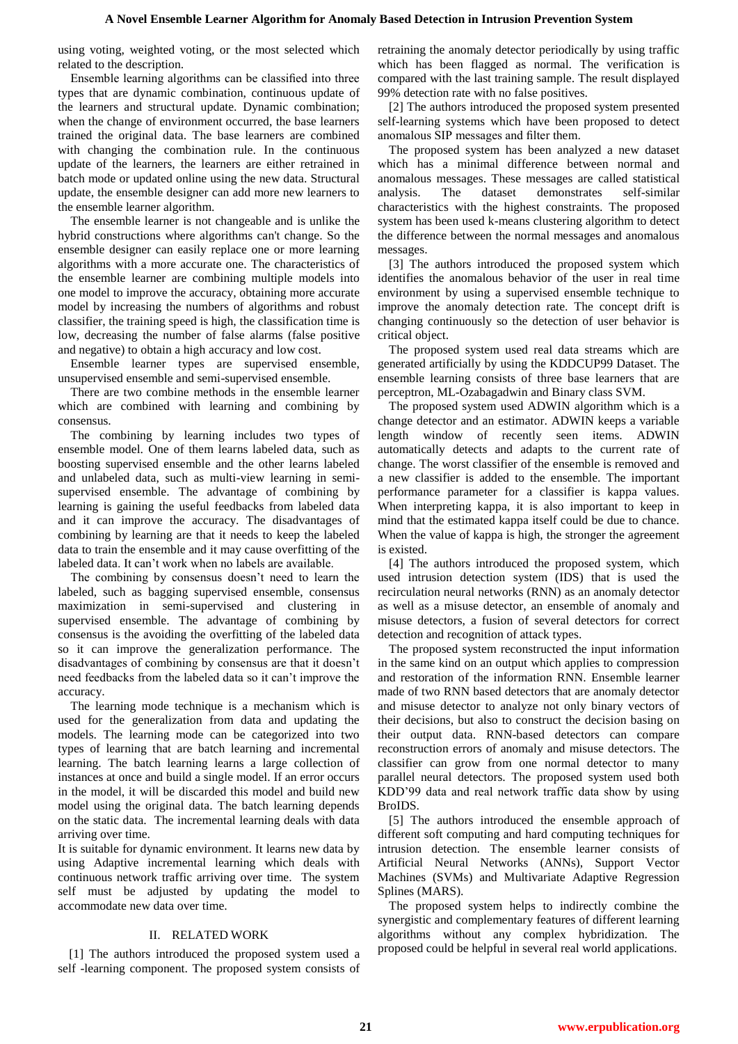using voting, weighted voting, or the most selected which related to the description.

Ensemble learning algorithms can be classified into three types that are dynamic combination, continuous update of the learners and structural update. Dynamic combination; when the change of environment occurred, the base learners trained the original data. The base learners are combined with changing the combination rule. In the continuous update of the learners, the learners are either retrained in batch mode or updated online using the new data. Structural update, the ensemble designer can add more new learners to the ensemble learner algorithm.

The ensemble learner is not changeable and is unlike the hybrid constructions where algorithms can't change. So the ensemble designer can easily replace one or more learning algorithms with a more accurate one. The characteristics of the ensemble learner are combining multiple models into one model to improve the accuracy, obtaining more accurate model by increasing the numbers of algorithms and robust classifier, the training speed is high, the classification time is low, decreasing the number of false alarms (false positive and negative) to obtain a high accuracy and low cost.

Ensemble learner types are supervised ensemble, unsupervised ensemble and semi-supervised ensemble.

There are two combine methods in the ensemble learner which are combined with learning and combining by consensus.

The combining by learning includes two types of ensemble model. One of them learns labeled data, such as boosting supervised ensemble and the other learns labeled and unlabeled data, such as multi-view learning in semisupervised ensemble. The advantage of combining by learning is gaining the useful feedbacks from labeled data and it can improve the accuracy. The disadvantages of combining by learning are that it needs to keep the labeled data to train the ensemble and it may cause overfitting of the labeled data. It can't work when no labels are available.

The combining by consensus doesn't need to learn the labeled, such as bagging supervised ensemble, consensus maximization in semi-supervised and clustering in supervised ensemble. The advantage of combining by consensus is the avoiding the overfitting of the labeled data so it can improve the generalization performance. The disadvantages of combining by consensus are that it doesn't need feedbacks from the labeled data so it can't improve the accuracy.

The learning mode technique is a mechanism which is used for the generalization from data and updating the models. The learning mode can be categorized into two types of learning that are batch learning and incremental learning. The batch learning learns a large collection of instances at once and build a single model. If an error occurs in the model, it will be discarded this model and build new model using the original data. The batch learning depends on the static data. The incremental learning deals with data arriving over time.

It is suitable for dynamic environment. It learns new data by using Adaptive incremental learning which deals with continuous network traffic arriving over time. The system self must be adjusted by updating the model to accommodate new data over time.

## II. RELATED WORK

[1] The authors introduced the proposed system used a self -learning component. The proposed system consists of retraining the anomaly detector periodically by using traffic which has been flagged as normal. The verification is compared with the last training sample. The result displayed 99% detection rate with no false positives.

[2] The authors introduced the proposed system presented self-learning systems which have been proposed to detect anomalous SIP messages and filter them.

The proposed system has been analyzed a new dataset which has a minimal difference between normal and anomalous messages. These messages are called statistical analysis. The dataset demonstrates self-similar characteristics with the highest constraints. The proposed system has been used k-means clustering algorithm to detect the difference between the normal messages and anomalous messages.

[3] The authors introduced the proposed system which identifies the anomalous behavior of the user in real time environment by using a supervised ensemble technique to improve the anomaly detection rate. The concept drift is changing continuously so the detection of user behavior is critical object.

The proposed system used real data streams which are generated artificially by using the KDDCUP99 Dataset. The ensemble learning consists of three base learners that are perceptron, ML-Ozabagadwin and Binary class SVM.

The proposed system used ADWIN algorithm which is a change detector and an estimator. ADWIN keeps a variable length window of recently seen items. ADWIN automatically detects and adapts to the current rate of change. The worst classifier of the ensemble is removed and a new classifier is added to the ensemble. The important performance parameter for a classifier is kappa values. When interpreting kappa, it is also important to keep in mind that the estimated kappa itself could be due to chance. When the value of kappa is high, the stronger the agreement is existed.

[4] The authors introduced the proposed system, which used intrusion detection system (IDS) that is used the recirculation neural networks (RNN) as an anomaly detector as well as a misuse detector, an ensemble of anomaly and misuse detectors, a fusion of several detectors for correct detection and recognition of attack types.

The proposed system reconstructed the input information in the same kind on an output which applies to compression and restoration of the information RNN. Ensemble learner made of two RNN based detectors that are anomaly detector and misuse detector to analyze not only binary vectors of their decisions, but also to construct the decision basing on their output data. RNN-based detectors can compare reconstruction errors of anomaly and misuse detectors. The classifier can grow from one normal detector to many parallel neural detectors. The proposed system used both KDD'99 data and real network traffic data show by using BroIDS.

[5] The authors introduced the ensemble approach of different soft computing and hard computing techniques for intrusion detection. The ensemble learner consists of Artificial Neural Networks (ANNs), Support Vector Machines (SVMs) and Multivariate Adaptive Regression Splines (MARS).

The proposed system helps to indirectly combine the synergistic and complementary features of different learning algorithms without any complex hybridization. The proposed could be helpful in several real world applications.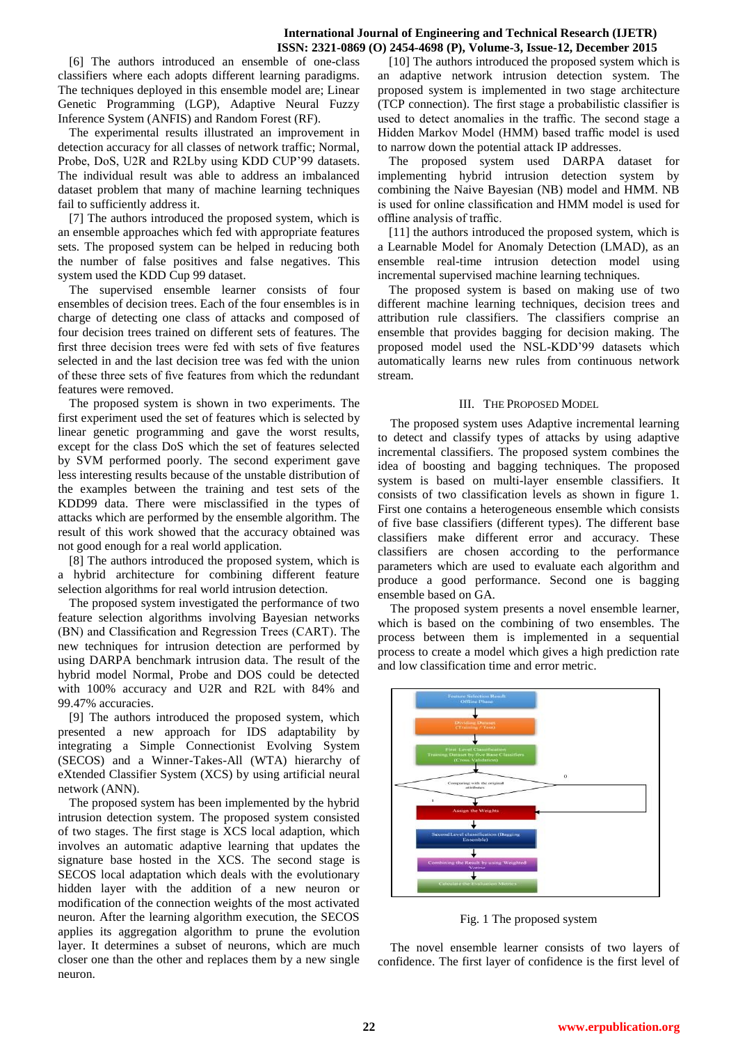## **International Journal of Engineering and Technical Research (IJETR) ISSN: 2321-0869 (O) 2454-4698 (P), Volume-3, Issue-12, December 2015**

[6] The authors introduced an ensemble of one-class classifiers where each adopts different learning paradigms. The techniques deployed in this ensemble model are; Linear Genetic Programming (LGP), Adaptive Neural Fuzzy Inference System (ANFIS) and Random Forest (RF).

The experimental results illustrated an improvement in detection accuracy for all classes of network traffic; Normal, Probe, DoS, U2R and R2Lby using KDD CUP'99 datasets. The individual result was able to address an imbalanced dataset problem that many of machine learning techniques fail to sufficiently address it.

[7] The authors introduced the proposed system, which is an ensemble approaches which fed with appropriate features sets. The proposed system can be helped in reducing both the number of false positives and false negatives. This system used the KDD Cup 99 dataset.

The supervised ensemble learner consists of four ensembles of decision trees. Each of the four ensembles is in charge of detecting one class of attacks and composed of four decision trees trained on different sets of features. The first three decision trees were fed with sets of five features selected in and the last decision tree was fed with the union of these three sets of five features from which the redundant features were removed.

The proposed system is shown in two experiments. The first experiment used the set of features which is selected by linear genetic programming and gave the worst results, except for the class DoS which the set of features selected by SVM performed poorly. The second experiment gave less interesting results because of the unstable distribution of the examples between the training and test sets of the KDD99 data. There were misclassified in the types of attacks which are performed by the ensemble algorithm. The result of this work showed that the accuracy obtained was not good enough for a real world application.

[8] The authors introduced the proposed system, which is a hybrid architecture for combining different feature selection algorithms for real world intrusion detection.

The proposed system investigated the performance of two feature selection algorithms involving Bayesian networks (BN) and Classification and Regression Trees (CART). The new techniques for intrusion detection are performed by using DARPA benchmark intrusion data. The result of the hybrid model Normal, Probe and DOS could be detected with 100% accuracy and U2R and R2L with 84% and 99.47% accuracies.

[9] The authors introduced the proposed system, which presented a new approach for IDS adaptability by integrating a Simple Connectionist Evolving System (SECOS) and a Winner-Takes-All (WTA) hierarchy of eXtended Classifier System (XCS) by using artificial neural network (ANN).

The proposed system has been implemented by the hybrid intrusion detection system. The proposed system consisted of two stages. The first stage is XCS local adaption, which involves an automatic adaptive learning that updates the signature base hosted in the XCS. The second stage is SECOS local adaptation which deals with the evolutionary hidden layer with the addition of a new neuron or modification of the connection weights of the most activated neuron. After the learning algorithm execution, the SECOS applies its aggregation algorithm to prune the evolution layer. It determines a subset of neurons, which are much closer one than the other and replaces them by a new single neuron.

[10] The authors introduced the proposed system which is an adaptive network intrusion detection system. The proposed system is implemented in two stage architecture (TCP connection). The first stage a probabilistic classifier is used to detect anomalies in the traffic. The second stage a Hidden Markov Model (HMM) based traffic model is used to narrow down the potential attack IP addresses.

The proposed system used DARPA dataset for implementing hybrid intrusion detection system by combining the Naive Bayesian (NB) model and HMM. NB is used for online classification and HMM model is used for offline analysis of traffic.

[11] the authors introduced the proposed system, which is a Learnable Model for Anomaly Detection (LMAD), as an ensemble real-time intrusion detection model using incremental supervised machine learning techniques.

The proposed system is based on making use of two different machine learning techniques, decision trees and attribution rule classifiers. The classifiers comprise an ensemble that provides bagging for decision making. The proposed model used the NSL-KDD'99 datasets which automatically learns new rules from continuous network stream.

## III. THE PROPOSED MODEL

The proposed system uses Adaptive incremental learning to detect and classify types of attacks by using adaptive incremental classifiers. The proposed system combines the idea of boosting and bagging techniques. The proposed system is based on multi-layer ensemble classifiers. It consists of two classification levels as shown in figure 1. First one contains a heterogeneous ensemble which consists of five base classifiers (different types). The different base classifiers make different error and accuracy. These classifiers are chosen according to the performance parameters which are used to evaluate each algorithm and produce a good performance. Second one is bagging ensemble based on GA.

The proposed system presents a novel ensemble learner, which is based on the combining of two ensembles. The process between them is implemented in a sequential process to create a model which gives a high prediction rate and low classification time and error metric.



Fig. 1 The proposed system

The novel ensemble learner consists of two layers of confidence. The first layer of confidence is the first level of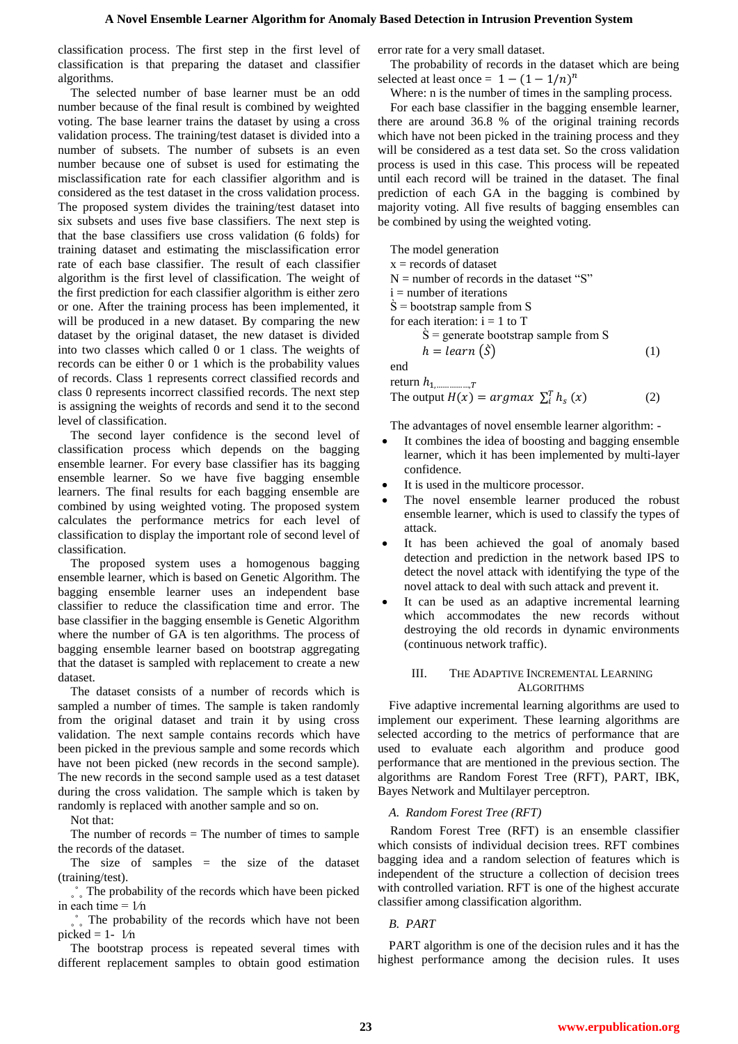classification process. The first step in the first level of classification is that preparing the dataset and classifier algorithms.

The selected number of base learner must be an odd number because of the final result is combined by weighted voting. The base learner trains the dataset by using a cross validation process. The training/test dataset is divided into a number of subsets. The number of subsets is an even number because one of subset is used for estimating the misclassification rate for each classifier algorithm and is considered as the test dataset in the cross validation process. The proposed system divides the training/test dataset into six subsets and uses five base classifiers. The next step is that the base classifiers use cross validation (6 folds) for training dataset and estimating the misclassification error rate of each base classifier. The result of each classifier algorithm is the first level of classification. The weight of the first prediction for each classifier algorithm is either zero or one. After the training process has been implemented, it will be produced in a new dataset. By comparing the new dataset by the original dataset, the new dataset is divided into two classes which called 0 or 1 class. The weights of records can be either 0 or 1 which is the probability values of records. Class 1 represents correct classified records and class 0 represents incorrect classified records. The next step is assigning the weights of records and send it to the second level of classification.

The second layer confidence is the second level of classification process which depends on the bagging ensemble learner. For every base classifier has its bagging ensemble learner. So we have five bagging ensemble learners. The final results for each bagging ensemble are combined by using weighted voting. The proposed system calculates the performance metrics for each level of classification to display the important role of second level of classification.

The proposed system uses a homogenous bagging ensemble learner, which is based on Genetic Algorithm. The bagging ensemble learner uses an independent base classifier to reduce the classification time and error. The base classifier in the bagging ensemble is Genetic Algorithm where the number of GA is ten algorithms. The process of bagging ensemble learner based on bootstrap aggregating that the dataset is sampled with replacement to create a new dataset.

The dataset consists of a number of records which is sampled a number of times. The sample is taken randomly from the original dataset and train it by using cross validation. The next sample contains records which have been picked in the previous sample and some records which have not been picked (new records in the second sample). The new records in the second sample used as a test dataset during the cross validation. The sample which is taken by randomly is replaced with another sample and so on.

Not that:

The number of records  $=$  The number of times to sample the records of the dataset.

The size of samples  $=$  the size of the dataset (training/test).

˳˚˳ The probability of the records which have been picked in each time  $= 1/n$ 

 $\hat{\ }$ . The probability of the records which have not been picked =  $1 - \frac{1}{n}$ 

The bootstrap process is repeated several times with different replacement samples to obtain good estimation error rate for a very small dataset.

The probability of records in the dataset which are being selected at least once =  $1 - (1 - 1/n)^n$ 

Where: n is the number of times in the sampling process.

For each base classifier in the bagging ensemble learner, there are around 36.8 % of the original training records which have not been picked in the training process and they will be considered as a test data set. So the cross validation process is used in this case. This process will be repeated until each record will be trained in the dataset. The final prediction of each GA in the bagging is combined by majority voting. All five results of bagging ensembles can be combined by using the weighted voting.

The model generation  $x =$  records of dataset  $N =$  number of records in the dataset "S"  $i =$  number of iterations  $\dot{S}$  = bootstrap sample from S for each iteration:  $i = 1$  to T  $\dot{S}$  = generate bootstrap sample from S  $h = learn(\hat{S})$  (1) end

return  $h_1$ 

The output 
$$
H(x) = argmax \sum_{i}^{T} h_s(x)
$$
 (2)

The advantages of novel ensemble learner algorithm: -

- It combines the idea of boosting and bagging ensemble learner, which it has been implemented by multi-layer confidence.
- It is used in the multicore processor.

 $\tau$ 

- The novel ensemble learner produced the robust ensemble learner, which is used to classify the types of attack.
- It has been achieved the goal of anomaly based detection and prediction in the network based IPS to detect the novel attack with identifying the type of the novel attack to deal with such attack and prevent it.
- It can be used as an adaptive incremental learning which accommodates the new records without destroying the old records in dynamic environments (continuous network traffic).

## III. THE ADAPTIVE INCREMENTAL LEARNING ALGORITHMS

Five adaptive incremental learning algorithms are used to implement our experiment. These learning algorithms are selected according to the metrics of performance that are used to evaluate each algorithm and produce good performance that are mentioned in the previous section. The algorithms are Random Forest Tree (RFT), PART, IBK, Bayes Network and Multilayer perceptron.

## *A. Random Forest Tree (RFT)*

Random Forest Tree (RFT) is an ensemble classifier which consists of individual decision trees. RFT combines bagging idea and a random selection of features which is independent of the structure a collection of decision trees with controlled variation. RFT is one of the highest accurate classifier among classification algorithm.

## *B. PART*

PART algorithm is one of the decision rules and it has the highest performance among the decision rules. It uses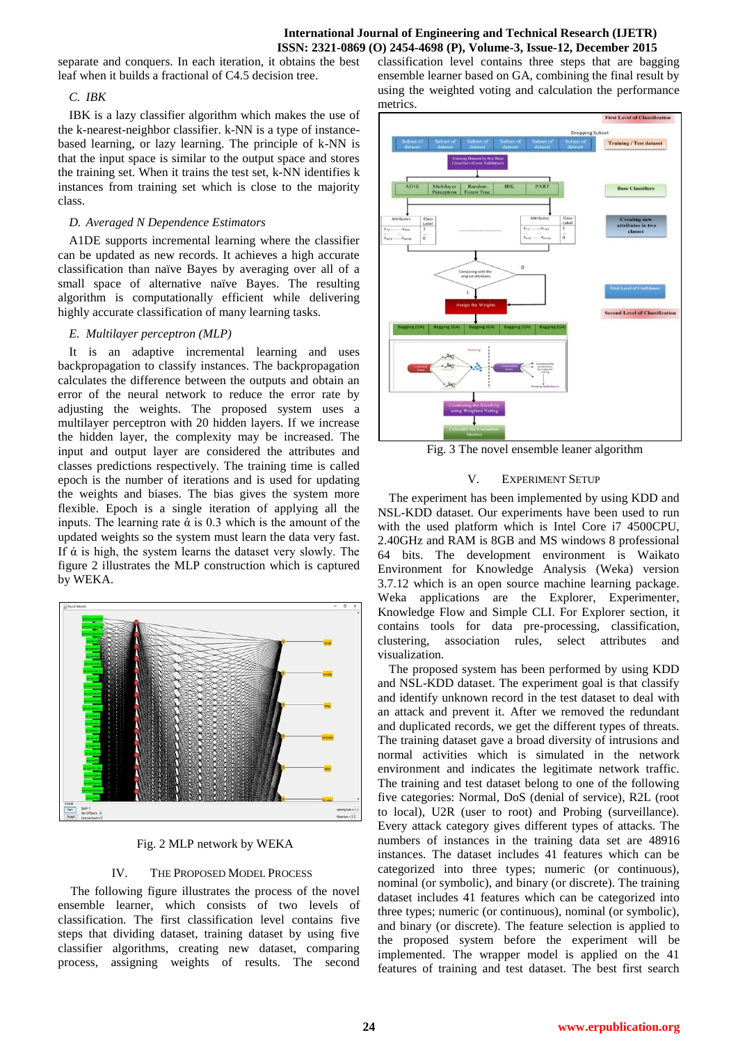## **International Journal of Engineering and Technical Research (IJETR) ISSN: 2321-0869 (O) 2454-4698 (P), Volume-3, Issue-12, December 2015**

separate and conquers. In each iteration, it obtains the best leaf when it builds a fractional of C4.5 decision tree.

## *C. IBK*

IBK is a lazy classifier algorithm which makes the use of the k-nearest-neighbor classifier. k-NN is a type of instancebased learning, or lazy learning. The principle of k-NN is that the input space is similar to the output space and stores the training set. When it trains the test set, k-NN identifies k instances from training set which is close to the majority class.

# *D. Averaged N Dependence Estimators*

A1DE supports incremental learning where the classifier can be updated as new records. It achieves a high accurate classification than naïve Bayes by averaging over all of a small space of alternative naïve Bayes. The resulting algorithm is computationally efficient while delivering highly accurate classification of many learning tasks.

# *E. Multilayer perceptron (MLP)*

It is an adaptive incremental learning and uses backpropagation to classify instances. The backpropagation calculates the difference between the outputs and obtain an error of the neural network to reduce the error rate by adjusting the weights. The proposed system uses a multilayer perceptron with 20 hidden layers. If we increase the hidden layer, the complexity may be increased. The input and output layer are considered the attributes and classes predictions respectively. The training time is called epoch is the number of iterations and is used for updating the weights and biases. The bias gives the system more flexible. Epoch is a single iteration of applying all the inputs. The learning rate  $\alpha$  is 0.3 which is the amount of the updated weights so the system must learn the data very fast. If  $\alpha$  is high, the system learns the dataset very slowly. The figure 2 illustrates the MLP construction which is captured by WEKA.



Fig. 2 MLP network by WEKA

# IV. THE PROPOSED MODEL PROCESS

The following figure illustrates the process of the novel ensemble learner, which consists of two levels of classification. The first classification level contains five steps that dividing dataset, training dataset by using five classifier algorithms, creating new dataset, comparing process, assigning weights of results. The second

classification level contains three steps that are bagging ensemble learner based on GA, combining the final result by using the weighted voting and calculation the performance metrics.



Fig. 3 The novel ensemble leaner algorithm

# V. EXPERIMENT SETUP

The experiment has been implemented by using KDD and NSL-KDD dataset. Our experiments have been used to run with the used platform which is Intel Core i7 4500CPU, 2.40GHz and RAM is 8GB and MS windows 8 professional 64 bits. The development environment is Waikato Environment for Knowledge Analysis (Weka) version 3.7.12 which is an open source machine learning package. Weka applications are the Explorer, Experimenter, Knowledge Flow and Simple CLI. For Explorer section, it contains tools for data pre-processing, classification, clustering, association rules, select attributes and visualization.

The proposed system has been performed by using KDD and NSL-KDD dataset. The experiment goal is that classify and identify unknown record in the test dataset to deal with an attack and prevent it. After we removed the redundant and duplicated records, we get the different types of threats. The training dataset gave a broad diversity of intrusions and normal activities which is simulated in the network environment and indicates the legitimate network traffic. The training and test dataset belong to one of the following five categories: Normal, DoS (denial of service), R2L (root to local), U2R (user to root) and Probing (surveillance). Every attack category gives different types of attacks. The numbers of instances in the training data set are 48916 instances. The dataset includes 41 features which can be categorized into three types; numeric (or continuous), nominal (or symbolic), and binary (or discrete). The training dataset includes 41 features which can be categorized into three types; numeric (or continuous), nominal (or symbolic), and binary (or discrete). The feature selection is applied to the proposed system before the experiment will be implemented. The wrapper model is applied on the 41 features of training and test dataset. The best first search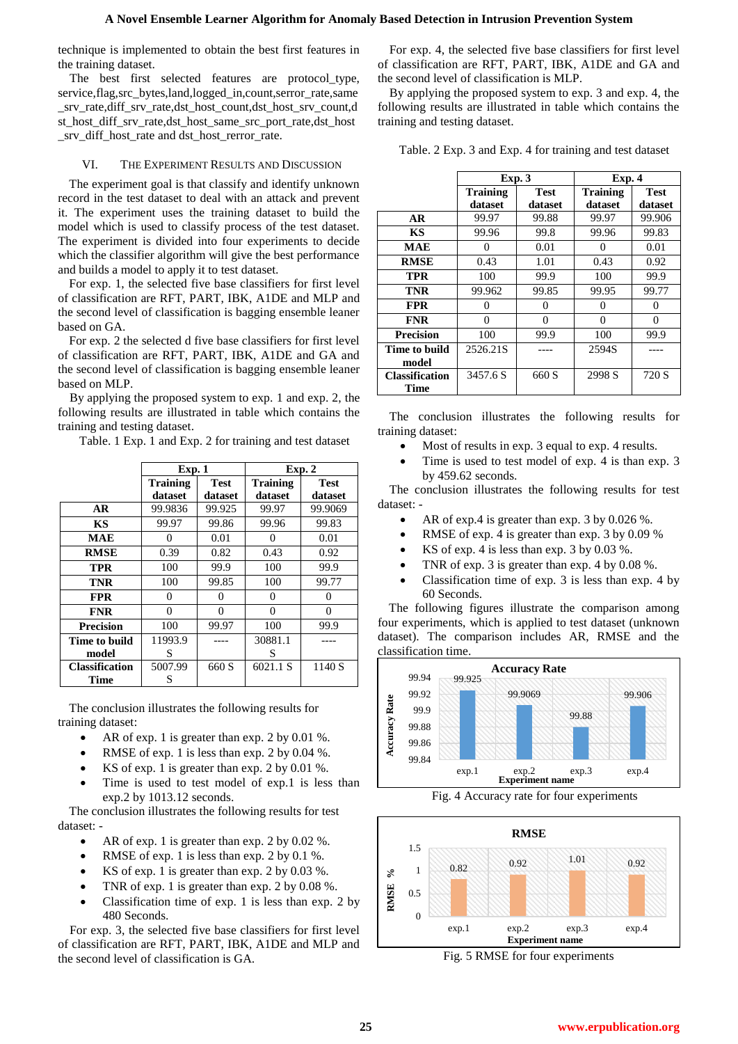technique is implemented to obtain the best first features in the training dataset.

The best first selected features are protocol\_type, service,flag,src\_bytes,land,logged\_in,count,serror\_rate,same \_srv\_rate,diff\_srv\_rate,dst\_host\_count,dst\_host\_srv\_count,d st\_host\_diff\_srv\_rate,dst\_host\_same\_src\_port\_rate,dst\_host \_srv\_diff\_host\_rate and dst\_host\_rerror\_rate.

### VI. THE EXPERIMENT RESULTS AND DISCUSSION

The experiment goal is that classify and identify unknown record in the test dataset to deal with an attack and prevent it. The experiment uses the training dataset to build the model which is used to classify process of the test dataset. The experiment is divided into four experiments to decide which the classifier algorithm will give the best performance and builds a model to apply it to test dataset.

For exp. 1, the selected five base classifiers for first level of classification are RFT, PART, IBK, A1DE and MLP and the second level of classification is bagging ensemble leaner based on GA.

For exp. 2 the selected d five base classifiers for first level of classification are RFT, PART, IBK, A1DE and GA and the second level of classification is bagging ensemble leaner based on MLP.

By applying the proposed system to exp. 1 and exp. 2, the following results are illustrated in table which contains the training and testing dataset.

Table. 1 Exp. 1 and Exp. 2 for training and test dataset

|                       | Exp.1           |             | Exp. 2          |             |  |  |  |
|-----------------------|-----------------|-------------|-----------------|-------------|--|--|--|
|                       | <b>Training</b> | <b>Test</b> | <b>Training</b> | <b>Test</b> |  |  |  |
|                       | dataset         | dataset     | dataset         | dataset     |  |  |  |
| AR                    | 99.9836         | 99.925      | 99.97           | 99.9069     |  |  |  |
| <b>KS</b>             | 99.97           | 99.86       | 99.96           | 99.83       |  |  |  |
| <b>MAE</b>            | $\theta$        | 0.01        | 0               | 0.01        |  |  |  |
| <b>RMSE</b>           | 0.39            | 0.82        | 0.43            | 0.92        |  |  |  |
| TPR                   | 100             | 99.9        | 100             | 99.9        |  |  |  |
| <b>TNR</b>            | 100             | 99.85       | 100             | 99.77       |  |  |  |
| <b>FPR</b>            | 0               | 0           | 0               | 0           |  |  |  |
| <b>FNR</b>            | 0               | 0           | 0               | $\Omega$    |  |  |  |
| <b>Precision</b>      | 100             | 99.97       | 100             | 99.9        |  |  |  |
| Time to build         | 11993.9         |             | 30881.1         |             |  |  |  |
| model                 | S               |             | S               |             |  |  |  |
| <b>Classification</b> | 5007.99         | 660 S       | 6021.1 S        | 1140 S      |  |  |  |
| Time                  | S               |             |                 |             |  |  |  |

The conclusion illustrates the following results for training dataset:

- AR of exp. 1 is greater than exp. 2 by 0.01 %.
- RMSE of exp. 1 is less than exp. 2 by 0.04 %.
- KS of exp. 1 is greater than exp. 2 by 0.01 %.
- Time is used to test model of exp.1 is less than exp.2 by 1013.12 seconds.

The conclusion illustrates the following results for test dataset: -

- AR of exp. 1 is greater than exp. 2 by 0.02 %.
- RMSE of exp. 1 is less than exp. 2 by 0.1 %.
- KS of exp. 1 is greater than exp. 2 by 0.03 %.
- TNR of exp. 1 is greater than exp. 2 by 0.08 %.
- Classification time of exp. 1 is less than exp. 2 by 480 Seconds.

For exp. 3, the selected five base classifiers for first level of classification are RFT, PART, IBK, A1DE and MLP and the second level of classification is GA.

For exp. 4, the selected five base classifiers for first level of classification are RFT, PART, IBK, A1DE and GA and the second level of classification is MLP.

By applying the proposed system to exp. 3 and exp. 4, the following results are illustrated in table which contains the training and testing dataset.

Table. 2 Exp. 3 and Exp. 4 for training and test dataset

|                       | Exp.3             |                   | Exp.4             |                   |  |  |  |
|-----------------------|-------------------|-------------------|-------------------|-------------------|--|--|--|
|                       | <b>Training</b>   | Test              | <b>Training</b>   | <b>Test</b>       |  |  |  |
|                       | dataset           | dataset           | dataset           | dataset           |  |  |  |
| <b>AR</b>             | 99.97             | 99.88             | 99.97             | 99.906            |  |  |  |
| <b>KS</b>             | 99.96             | 99.8              | 99.96             | 99.83             |  |  |  |
| <b>MAE</b>            |                   | 0.01              | $\theta$          | 0.01              |  |  |  |
| <b>RMSE</b>           | 0.43              | 1.01              | 0.43              | 0.92              |  |  |  |
| <b>TPR</b>            | 100               | 99.9              | 100               | 99.9              |  |  |  |
| <b>TNR</b>            | 99.962            | 99.85             | 99.95             | 99.77             |  |  |  |
| <b>FPR</b>            | $\mathbf{\Omega}$ | $\mathbf{\Omega}$ | $\mathbf{\Omega}$ | $\mathbf{\Omega}$ |  |  |  |
| <b>FNR</b>            | 0                 | 0                 | 0                 | 0                 |  |  |  |
| <b>Precision</b>      | 100               | 99.9              | 100               | 99.9              |  |  |  |
| Time to build         | 2526.21S          |                   | 2594S             |                   |  |  |  |
| model                 |                   |                   |                   |                   |  |  |  |
| <b>Classification</b> | 3457.6 S          | 660 S             | 2998 S            | 720 S             |  |  |  |
| <b>Time</b>           |                   |                   |                   |                   |  |  |  |

The conclusion illustrates the following results for training dataset:

- Most of results in exp. 3 equal to exp. 4 results.
- Time is used to test model of exp. 4 is than exp. 3 by 459.62 seconds.

The conclusion illustrates the following results for test dataset: -

- AR of exp.4 is greater than exp. 3 by 0.026 %.
- RMSE of exp. 4 is greater than exp. 3 by 0.09 %
- KS of exp. 4 is less than exp. 3 by 0.03 %.
- TNR of exp. 3 is greater than exp. 4 by 0.08 %.
- Classification time of exp. 3 is less than exp. 4 by 60 Seconds.

The following figures illustrate the comparison among four experiments, which is applied to test dataset (unknown dataset). The comparison includes AR, RMSE and the classification time.



Fig. 4 Accuracy rate for four experiments



Fig. 5 RMSE for four experiments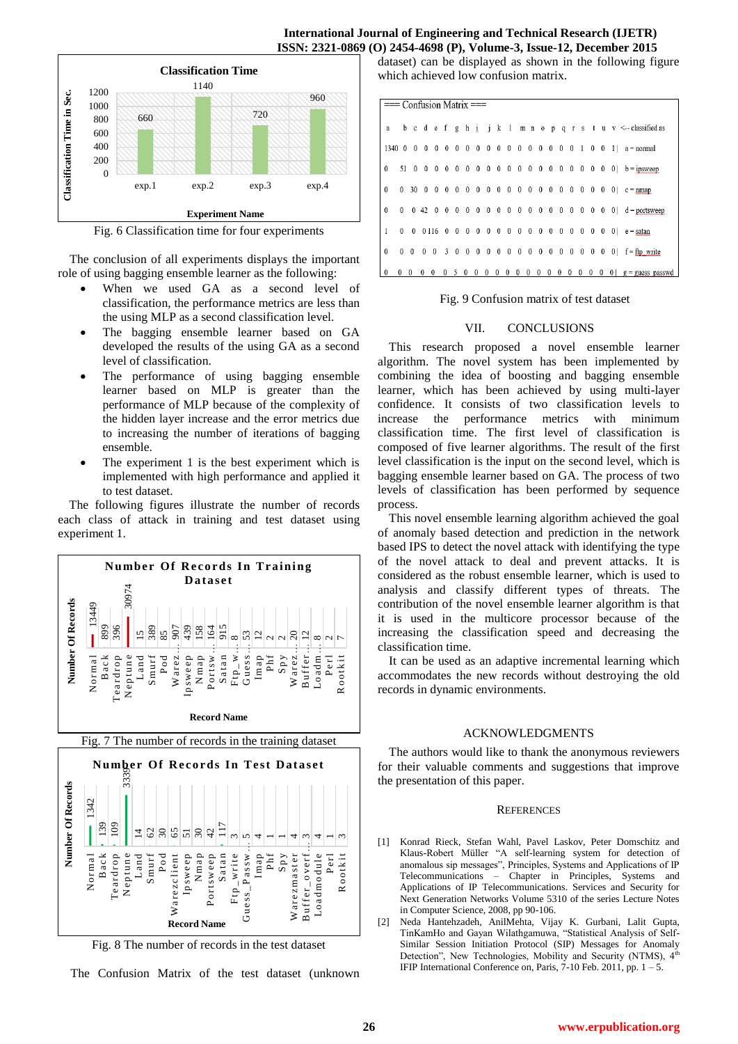

Fig. 6 Classification time for four experiments

The conclusion of all experiments displays the important role of using bagging ensemble learner as the following:

- When we used GA as a second level of classification, the performance metrics are less than the using MLP as a second classification level.
- The bagging ensemble learner based on GA developed the results of the using GA as a second level of classification.
- The performance of using bagging ensemble learner based on MLP is greater than the performance of MLP because of the complexity of the hidden layer increase and the error metrics due to increasing the number of iterations of bagging ensemble.
- The experiment 1 is the best experiment which is implemented with high performance and applied it to test dataset.

The following figures illustrate the number of records each class of attack in training and test dataset using experiment 1.





Fig. 8 The number of records in the test dataset

The Confusion Matrix of the test dataset (unknown

**International Journal of Engineering and Technical Research (IJETR) ISSN: 2321-0869 (O) 2454-4698 (P), Volume-3, Issue-12, December 2015** 

> dataset) can be displayed as shown in the following figure which achieved low confusion matrix.

|              | $==$ Confusion Matrix $==$ |          |              |          |  |       |  |  |  |  |  |  |  |  |  |                                                               |
|--------------|----------------------------|----------|--------------|----------|--|-------|--|--|--|--|--|--|--|--|--|---------------------------------------------------------------|
|              |                            |          |              |          |  |       |  |  |  |  |  |  |  |  |  | a b c d e f g h i j k 1 m n o p q r s t u v <-- classified as |
|              |                            |          |              |          |  |       |  |  |  |  |  |  |  |  |  | 1340 0 0 0 0 0 0 0 0 0 0 0 0 0 0 0 0 0 1 0 0 1   a = normal   |
| $\Omega$     |                            |          |              |          |  |       |  |  |  |  |  |  |  |  |  |                                                               |
| $\mathbf{0}$ |                            |          |              |          |  |       |  |  |  |  |  |  |  |  |  |                                                               |
| $\mathbf{0}$ |                            |          |              |          |  |       |  |  |  |  |  |  |  |  |  |                                                               |
| $\mathbf{1}$ |                            |          |              |          |  |       |  |  |  |  |  |  |  |  |  |                                                               |
| $\mathbf{0}$ |                            |          |              |          |  |       |  |  |  |  |  |  |  |  |  |                                                               |
| $\theta$     | $\Omega$                   | $\theta$ | $\mathbf{0}$ | $\Omega$ |  | 05000 |  |  |  |  |  |  |  |  |  |                                                               |

## Fig. 9 Confusion matrix of test dataset

#### VII. CONCLUSIONS

This research proposed a novel ensemble learner algorithm. The novel system has been implemented by combining the idea of boosting and bagging ensemble learner, which has been achieved by using multi-layer confidence. It consists of two classification levels to increase the performance metrics with minimum classification time. The first level of classification is composed of five learner algorithms. The result of the first level classification is the input on the second level, which is bagging ensemble learner based on GA. The process of two levels of classification has been performed by sequence process.

This novel ensemble learning algorithm achieved the goal of anomaly based detection and prediction in the network based IPS to detect the novel attack with identifying the type of the novel attack to deal and prevent attacks. It is considered as the robust ensemble learner, which is used to analysis and classify different types of threats. The contribution of the novel ensemble learner algorithm is that it is used in the multicore processor because of the increasing the classification speed and decreasing the classification time.

It can be used as an adaptive incremental learning which accommodates the new records without destroying the old records in dynamic environments.

### ACKNOWLEDGMENTS

The authors would like to thank the anonymous reviewers for their valuable comments and suggestions that improve the presentation of this paper.

#### **REFERENCES**

Konrad Rieck, Stefan Wahl, Pavel Laskov, Peter Domschitz and Klaus-Robert Müller "A self-learning system for detection of anomalous sip messages", Principles, Systems and Applications of IP Telecommunications – Chapter in Principles, Systems and Applications of IP Telecommunications. Services and Security for Next Generation Networks Volume 5310 of the series Lecture Notes in Computer Science, 2008, pp 90-106.

[2] Neda Hantehzadeh, AnilMehta, Vijay K. Gurbani, Lalit Gupta, TinKamHo and Gayan Wilathgamuwa, "Statistical Analysis of Self-Similar Session Initiation Protocol (SIP) Messages for Anomaly Detection", New Technologies, Mobility and Security (NTMS), 4<sup>t</sup> IFIP International Conference on, Paris,  $7-10$  Feb. 2011, pp.  $1-5$ .